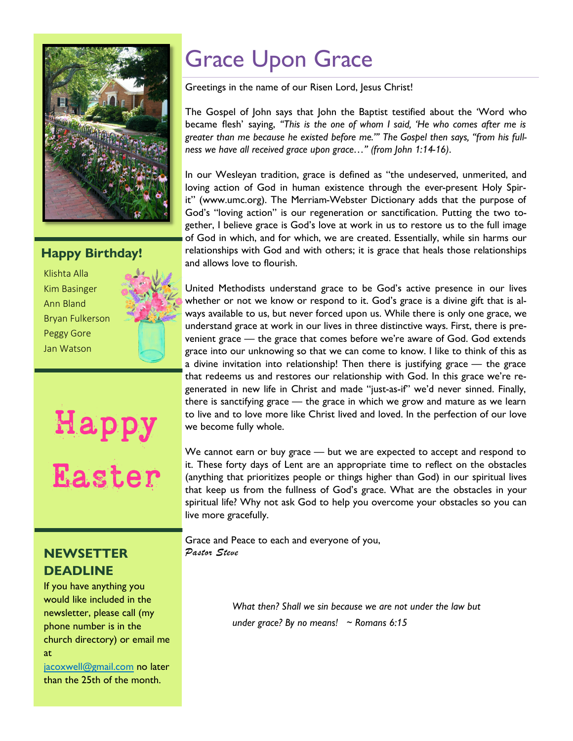

### **Happy Birthday!**

Klishta Alla Kim Basinger Ann Bland Bryan Fulkerson Peggy Gore Jan Watson





# **NEWSETTER DEADLINE**

If you have anything you would like included in the newsletter, please call (my phone number is in the church directory) or email me at

[jacoxwell@gmail.com](mailto:jacoxwell@gmail.com) no later than the 25th of the month.

# Grace Upon Grace

Greetings in the name of our Risen Lord, Jesus Christ!

The Gospel of John says that John the Baptist testified about the 'Word who became flesh' saying, *"This is the one of whom I said, 'He who comes after me is greater than me because he existed before me.'" The Gospel then says, "from his fullness we have all received grace upon grace…" (from John 1:14-16)*.

In our Wesleyan tradition, grace is defined as "the undeserved, unmerited, and loving action of God in human existence through the ever-present Holy Spirit" (www.umc.org). The Merriam-Webster Dictionary adds that the purpose of God's "loving action" is our regeneration or sanctification. Putting the two together, I believe grace is God's love at work in us to restore us to the full image of God in which, and for which, we are created. Essentially, while sin harms our relationships with God and with others; it is grace that heals those relationships and allows love to flourish.

United Methodists understand grace to be God's active presence in our lives whether or not we know or respond to it. God's grace is a divine gift that is always available to us, but never forced upon us. While there is only one grace, we understand grace at work in our lives in three distinctive ways. First, there is prevenient grace — the grace that comes before we're aware of God. God extends grace into our unknowing so that we can come to know. I like to think of this as a divine invitation into relationship! Then there is justifying grace — the grace that redeems us and restores our relationship with God. In this grace we're regenerated in new life in Christ and made "just-as-if" we'd never sinned. Finally, there is sanctifying grace — the grace in which we grow and mature as we learn to live and to love more like Christ lived and loved. In the perfection of our love we become fully whole.

We cannot earn or buy grace - but we are expected to accept and respond to it. These forty days of Lent are an appropriate time to reflect on the obstacles (anything that prioritizes people or things higher than God) in our spiritual lives that keep us from the fullness of God's grace. What are the obstacles in your spiritual life? Why not ask God to help you overcome your obstacles so you can live more gracefully.

Grace and Peace to each and everyone of you, *Pastor Steve* 

> *What then? Shall we sin because we are not under the law but under grace? By no means! ~ Romans 6:15*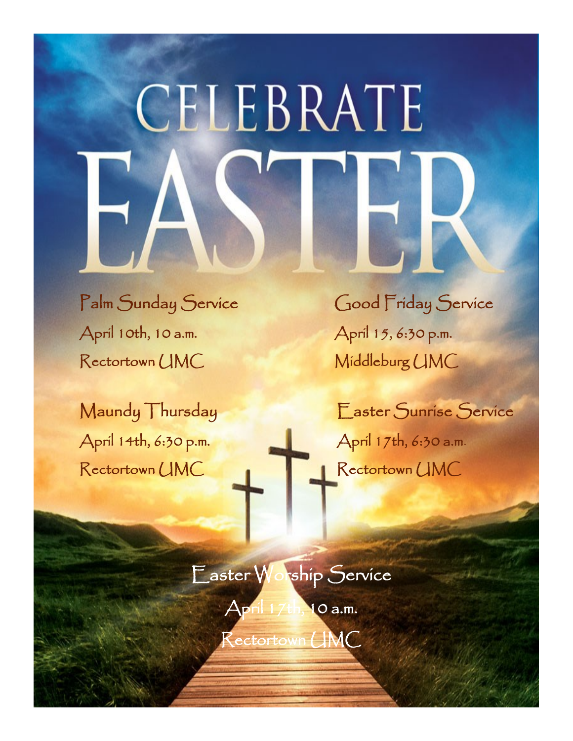# CELEBRATE

Palm Sunday Service April 10th, 10 a.m. Rectortown UMC

Maundy Thursday April 14th, 6:30 p.m. Rectortown UMC

Good Friday Service April 15, 6:30 p.m. Middleburg UMC

Easter Sunrise Service April 17th, 6:30 a.m. Rectortown UMC

Easter Worship Service April 17th, 10 a.m. Rectortown UMC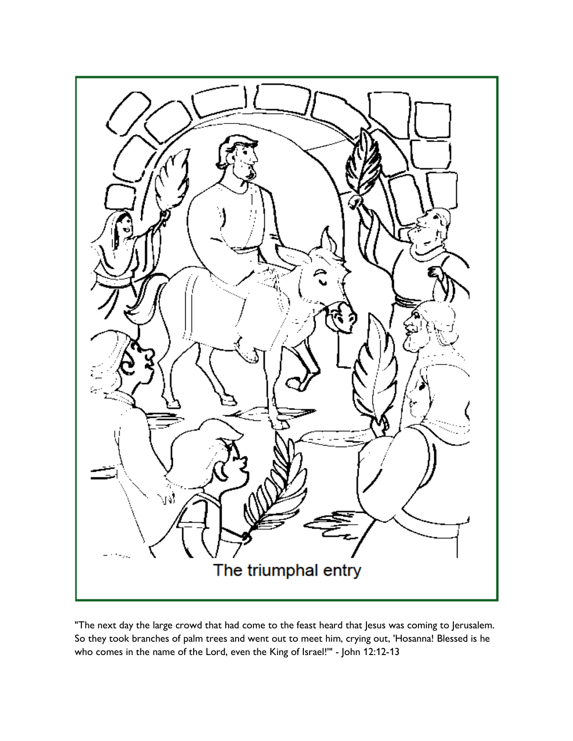

"The next day the large crowd that had come to the feast heard that Jesus was coming to Jerusalem. So they took branches of palm trees and went out to meet him, crying out, 'Hosanna! Blessed is he who comes in the name of the Lord, even the King of Israel!'" - John 12:12-13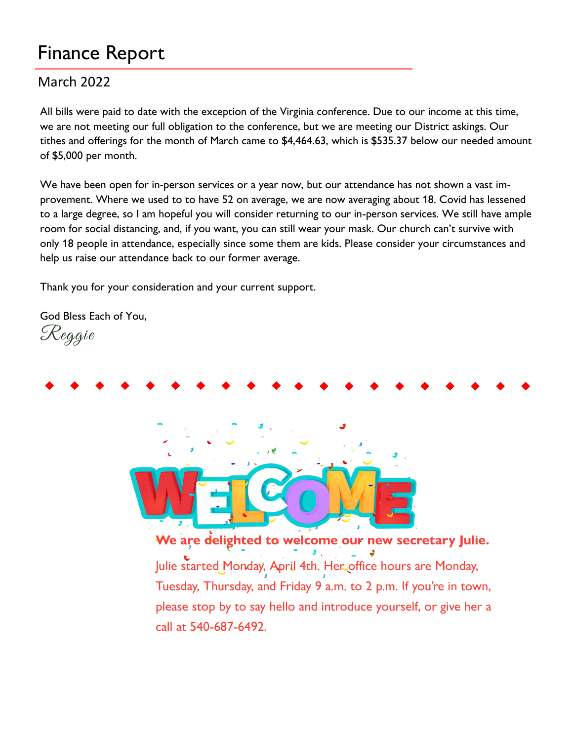# Finance Report

# March 2022

All bills were paid to date with the exception of the Virginia conference. Due to our income at this time, we are not meeting our full obligation to the conference, but we are meeting our District askings. Our tithes and offerings for the month of March came to \$4,464.63, which is \$535.37 below our needed amount of \$5,000 per month.

We have been open for in-person services or a year now, but our attendance has not shown a vast improvement. Where we used to to have 52 on average, we are now averaging about 18. Covid has lessened to a large degree, so I am hopeful you will consider returning to our in-person services. We still have ample room for social distancing, and, if you want, you can still wear your mask. Our church can't survive with only 18 people in attendance, especially since some them are kids. Please consider your circumstances and help us raise our attendance back to our former average.

Thank you for your consideration and your current support.

God Bless Each of You, Reggie





**We are delighted to welcome our new secretary Julie.**  Julie started Monday, April 4th. Her office hours are Monday, Tuesday, Thursday, and Friday 9 a.m. to 2 p.m. If you're in town, please stop by to say hello and introduce yourself, or give her a call at 540-687-6492.